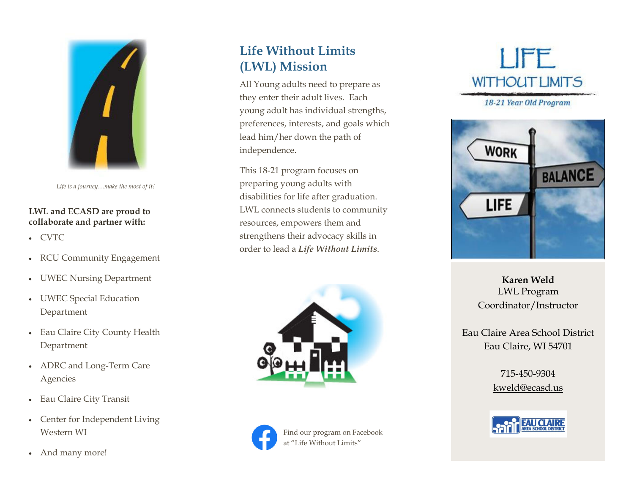

*Life is a journey…make the most of it!* 

#### **LWL and ECASD are proud to collaborate and partner with:**

- CVTC
- RCU Community Engagement
- $\bullet$ UWEC Nursing Department
- UWEC Special Education Department
- Eau Claire City County Health Department
- ADRC and Long-Term Care Agencies
- Eau Claire City Transit
- Center for Independent Living Western WI
- And many more!

## **Life Without Limits (LWL) Mission**

All Young adults need to prepare as they enter their adult lives. Each young adult has individual strengths, preferences, interests, and goals which lead him/her down the path of independence.

This 18-21 program focuses on preparing young adults with disabilities for life after graduation. LWL connects students to community resources, empowers them and strengthens their advocacy skills in order to lead a *Life Without Limits*.





**LIFE WITHOUT LIMITS** 

18-21 Year Old Program



**Karen Weld** LWL Program Coordinator/Instructor

Eau Claire Area School District Eau Claire, WI 54701

> 715-450-9304 kweld@ecasd.us